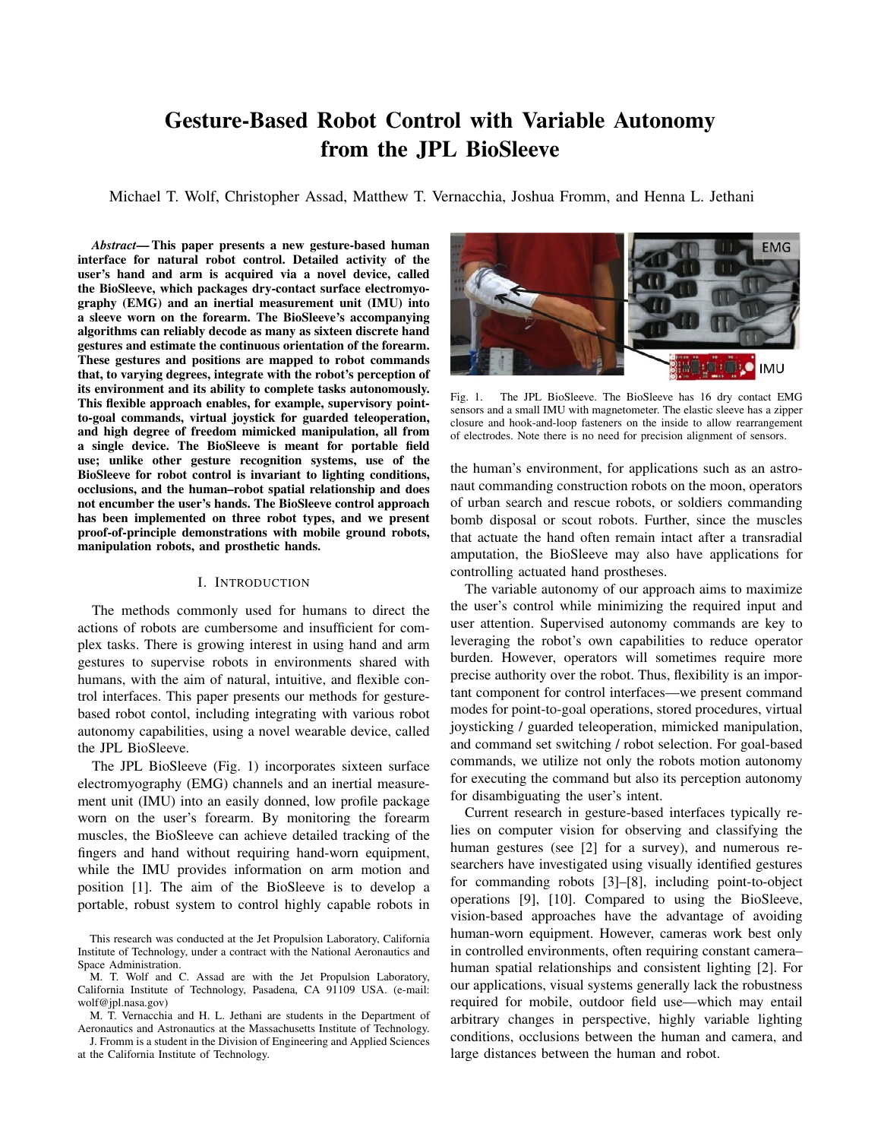# Gesture-Based Robot Control with Variable Autonomy from the JPL BioSleeve

Michael T. Wolf, Christopher Assad, Matthew T. Vernacchia, Joshua Fromm, and Henna L. Jethani

*Abstract*— This paper presents a new gesture-based human interface for natural robot control. Detailed activity of the user's hand and arm is acquired via a novel device, called the BioSleeve, which packages dry-contact surface electromyography (EMG) and an inertial measurement unit (IMU) into a sleeve worn on the forearm. The BioSleeve's accompanying algorithms can reliably decode as many as sixteen discrete hand gestures and estimate the continuous orientation of the forearm. These gestures and positions are mapped to robot commands that, to varying degrees, integrate with the robot's perception of its environment and its ability to complete tasks autonomously. This flexible approach enables, for example, supervisory pointto-goal commands, virtual joystick for guarded teleoperation, and high degree of freedom mimicked manipulation, all from a single device. The BioSleeve is meant for portable field use; unlike other gesture recognition systems, use of the BioSleeve for robot control is invariant to lighting conditions, occlusions, and the human–robot spatial relationship and does not encumber the user's hands. The BioSleeve control approach has been implemented on three robot types, and we present proof-of-principle demonstrations with mobile ground robots, manipulation robots, and prosthetic hands.

# I. INTRODUCTION

The methods commonly used for humans to direct the actions of robots are cumbersome and insufficient for complex tasks. There is growing interest in using hand and arm gestures to supervise robots in environments shared with humans, with the aim of natural, intuitive, and flexible control interfaces. This paper presents our methods for gesturebased robot contol, including integrating with various robot autonomy capabilities, using a novel wearable device, called the JPL BioSleeve.

The JPL BioSleeve (Fig. 1) incorporates sixteen surface electromyography (EMG) channels and an inertial measurement unit (IMU) into an easily donned, low profile package worn on the user's forearm. By monitoring the forearm muscles, the BioSleeve can achieve detailed tracking of the fingers and hand without requiring hand-worn equipment, while the IMU provides information on arm motion and position [1]. The aim of the BioSleeve is to develop a portable, robust system to control highly capable robots in



Fig. 1. The JPL BioSleeve. The BioSleeve has 16 dry contact EMG sensors and a small IMU with magnetometer. The elastic sleeve has a zipper closure and hook-and-loop fasteners on the inside to allow rearrangement of electrodes. Note there is no need for precision alignment of sensors.

the human's environment, for applications such as an astronaut commanding construction robots on the moon, operators of urban search and rescue robots, or soldiers commanding bomb disposal or scout robots. Further, since the muscles that actuate the hand often remain intact after a transradial amputation, the BioSleeve may also have applications for controlling actuated hand prostheses.

The variable autonomy of our approach aims to maximize the user's control while minimizing the required input and user attention. Supervised autonomy commands are key to leveraging the robot's own capabilities to reduce operator burden. However, operators will sometimes require more precise authority over the robot. Thus, flexibility is an important component for control interfaces—we present command modes for point-to-goal operations, stored procedures, virtual joysticking / guarded teleoperation, mimicked manipulation, and command set switching / robot selection. For goal-based commands, we utilize not only the robots motion autonomy for executing the command but also its perception autonomy for disambiguating the user's intent.

Current research in gesture-based interfaces typically relies on computer vision for observing and classifying the human gestures (see [2] for a survey), and numerous researchers have investigated using visually identified gestures for commanding robots [3]–[8], including point-to-object operations [9], [10]. Compared to using the BioSleeve, vision-based approaches have the advantage of avoiding human-worn equipment. However, cameras work best only in controlled environments, often requiring constant camera– human spatial relationships and consistent lighting [2]. For our applications, visual systems generally lack the robustness required for mobile, outdoor field use—which may entail arbitrary changes in perspective, highly variable lighting conditions, occlusions between the human and camera, and large distances between the human and robot.

This research was conducted at the Jet Propulsion Laboratory, California Institute of Technology, under a contract with the National Aeronautics and Space Administration.

M. T. Wolf and C. Assad are with the Jet Propulsion Laboratory, California Institute of Technology, Pasadena, CA 91109 USA. (e-mail: wolf@jpl.nasa.gov)

M. T. Vernacchia and H. L. Jethani are students in the Department of Aeronautics and Astronautics at the Massachusetts Institute of Technology.

J. Fromm is a student in the Division of Engineering and Applied Sciences at the California Institute of Technology.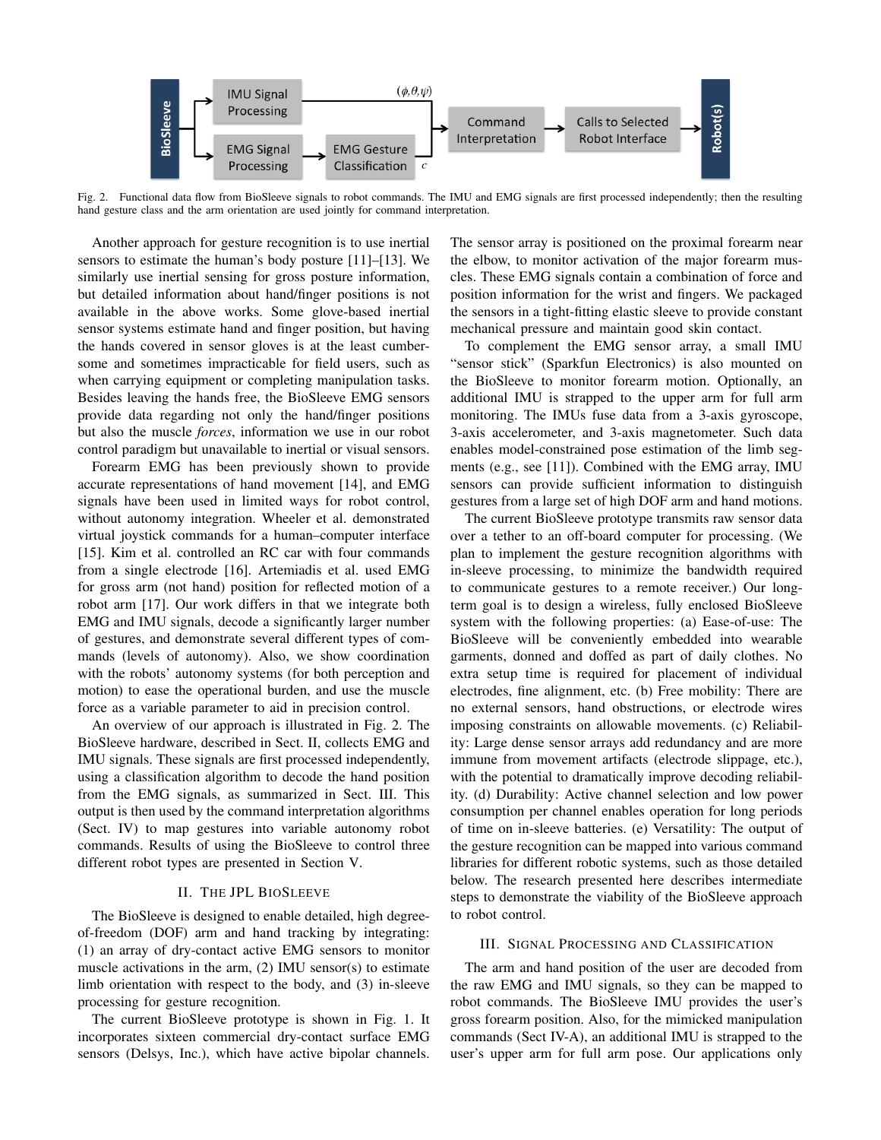

Fig. 2. Functional data flow from BioSleeve signals to robot commands. The IMU and EMG signals are first processed independently; then the resulting hand gesture class and the arm orientation are used jointly for command interpretation.

Another approach for gesture recognition is to use inertial sensors to estimate the human's body posture [11]–[13]. We similarly use inertial sensing for gross posture information, but detailed information about hand/finger positions is not available in the above works. Some glove-based inertial sensor systems estimate hand and finger position, but having the hands covered in sensor gloves is at the least cumbersome and sometimes impracticable for field users, such as when carrying equipment or completing manipulation tasks. Besides leaving the hands free, the BioSleeve EMG sensors provide data regarding not only the hand/finger positions but also the muscle *forces*, information we use in our robot control paradigm but unavailable to inertial or visual sensors.

Forearm EMG has been previously shown to provide accurate representations of hand movement [14], and EMG signals have been used in limited ways for robot control, without autonomy integration. Wheeler et al. demonstrated virtual joystick commands for a human–computer interface [15]. Kim et al. controlled an RC car with four commands from a single electrode [16]. Artemiadis et al. used EMG for gross arm (not hand) position for reflected motion of a robot arm [17]. Our work differs in that we integrate both EMG and IMU signals, decode a significantly larger number of gestures, and demonstrate several different types of commands (levels of autonomy). Also, we show coordination with the robots' autonomy systems (for both perception and motion) to ease the operational burden, and use the muscle force as a variable parameter to aid in precision control.

An overview of our approach is illustrated in Fig. 2. The BioSleeve hardware, described in Sect. II, collects EMG and IMU signals. These signals are first processed independently, using a classification algorithm to decode the hand position from the EMG signals, as summarized in Sect. III. This output is then used by the command interpretation algorithms (Sect. IV) to map gestures into variable autonomy robot commands. Results of using the BioSleeve to control three different robot types are presented in Section V.

# II. THE JPL BIOSLEEVE

The BioSleeve is designed to enable detailed, high degreeof-freedom (DOF) arm and hand tracking by integrating: (1) an array of dry-contact active EMG sensors to monitor muscle activations in the arm, (2) IMU sensor(s) to estimate limb orientation with respect to the body, and (3) in-sleeve processing for gesture recognition.

The current BioSleeve prototype is shown in Fig. 1. It incorporates sixteen commercial dry-contact surface EMG sensors (Delsys, Inc.), which have active bipolar channels.

The sensor array is positioned on the proximal forearm near the elbow, to monitor activation of the major forearm muscles. These EMG signals contain a combination of force and position information for the wrist and fingers. We packaged the sensors in a tight-fitting elastic sleeve to provide constant mechanical pressure and maintain good skin contact.

To complement the EMG sensor array, a small IMU "sensor stick" (Sparkfun Electronics) is also mounted on the BioSleeve to monitor forearm motion. Optionally, an additional IMU is strapped to the upper arm for full arm monitoring. The IMUs fuse data from a 3-axis gyroscope, 3-axis accelerometer, and 3-axis magnetometer. Such data enables model-constrained pose estimation of the limb segments (e.g., see [11]). Combined with the EMG array, IMU sensors can provide sufficient information to distinguish gestures from a large set of high DOF arm and hand motions.

The current BioSleeve prototype transmits raw sensor data over a tether to an off-board computer for processing. (We plan to implement the gesture recognition algorithms with in-sleeve processing, to minimize the bandwidth required to communicate gestures to a remote receiver.) Our longterm goal is to design a wireless, fully enclosed BioSleeve system with the following properties: (a) Ease-of-use: The BioSleeve will be conveniently embedded into wearable garments, donned and doffed as part of daily clothes. No extra setup time is required for placement of individual electrodes, fine alignment, etc. (b) Free mobility: There are no external sensors, hand obstructions, or electrode wires imposing constraints on allowable movements. (c) Reliability: Large dense sensor arrays add redundancy and are more immune from movement artifacts (electrode slippage, etc.), with the potential to dramatically improve decoding reliability. (d) Durability: Active channel selection and low power consumption per channel enables operation for long periods of time on in-sleeve batteries. (e) Versatility: The output of the gesture recognition can be mapped into various command libraries for different robotic systems, such as those detailed below. The research presented here describes intermediate steps to demonstrate the viability of the BioSleeve approach to robot control.

## III. SIGNAL PROCESSING AND CLASSIFICATION

The arm and hand position of the user are decoded from the raw EMG and IMU signals, so they can be mapped to robot commands. The BioSleeve IMU provides the user's gross forearm position. Also, for the mimicked manipulation commands (Sect IV-A), an additional IMU is strapped to the user's upper arm for full arm pose. Our applications only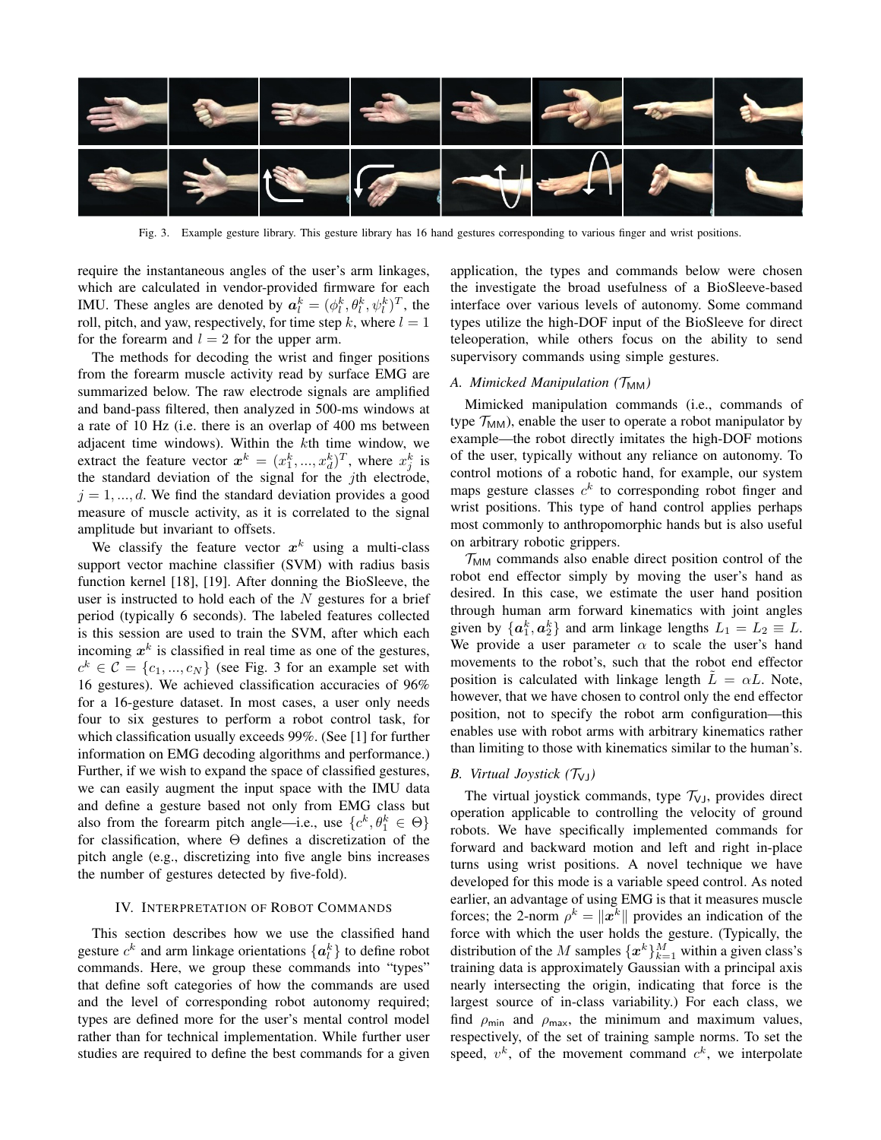

Fig. 3. Example gesture library. This gesture library has 16 hand gestures corresponding to various finger and wrist positions.

require the instantaneous angles of the user's arm linkages, which are calculated in vendor-provided firmware for each IMU. These angles are denoted by  $a_l^k = (\phi_l^k, \theta_l^k, \psi_l^k)^T$ , the roll, pitch, and yaw, respectively, for time step k, where  $l = 1$ for the forearm and  $l = 2$  for the upper arm.

The methods for decoding the wrist and finger positions from the forearm muscle activity read by surface EMG are summarized below. The raw electrode signals are amplified and band-pass filtered, then analyzed in 500-ms windows at a rate of 10 Hz (i.e. there is an overlap of 400 ms between adjacent time windows). Within the kth time window, we extract the feature vector  $x^k = (x_1^k, ..., x_d^k)^T$ , where  $x_j^k$  is the standard deviation of the signal for the jth electrode,  $j = 1, \ldots, d$ . We find the standard deviation provides a good measure of muscle activity, as it is correlated to the signal amplitude but invariant to offsets.

We classify the feature vector  $x^k$  using a multi-class support vector machine classifier (SVM) with radius basis function kernel [18], [19]. After donning the BioSleeve, the user is instructed to hold each of the  $N$  gestures for a brief period (typically 6 seconds). The labeled features collected is this session are used to train the SVM, after which each incoming  $x^k$  is classified in real time as one of the gestures,  $c^k \in \mathcal{C} = \{c_1, ..., c_N\}$  (see Fig. 3 for an example set with 16 gestures). We achieved classification accuracies of 96% for a 16-gesture dataset. In most cases, a user only needs four to six gestures to perform a robot control task, for which classification usually exceeds 99%. (See [1] for further information on EMG decoding algorithms and performance.) Further, if we wish to expand the space of classified gestures, we can easily augment the input space with the IMU data and define a gesture based not only from EMG class but also from the forearm pitch angle—i.e., use  $\{c^k, \theta_1^k \in \Theta\}$ for classification, where Θ defines a discretization of the pitch angle (e.g., discretizing into five angle bins increases the number of gestures detected by five-fold).

#### IV. INTERPRETATION OF ROBOT COMMANDS

This section describes how we use the classified hand gesture  $c^k$  and arm linkage orientations  $\{a_l^k\}$  to define robot commands. Here, we group these commands into "types" that define soft categories of how the commands are used and the level of corresponding robot autonomy required; types are defined more for the user's mental control model rather than for technical implementation. While further user studies are required to define the best commands for a given application, the types and commands below were chosen the investigate the broad usefulness of a BioSleeve-based interface over various levels of autonomy. Some command types utilize the high-DOF input of the BioSleeve for direct teleoperation, while others focus on the ability to send supervisory commands using simple gestures.

## *A. Mimicked Manipulation* ( $\mathcal{T}_{MM}$ )

Mimicked manipulation commands (i.e., commands of type  $\mathcal{T}_{MM}$ , enable the user to operate a robot manipulator by example—the robot directly imitates the high-DOF motions of the user, typically without any reliance on autonomy. To control motions of a robotic hand, for example, our system maps gesture classes  $c^k$  to corresponding robot finger and wrist positions. This type of hand control applies perhaps most commonly to anthropomorphic hands but is also useful on arbitrary robotic grippers.

 $\mathcal{T}_{MM}$  commands also enable direct position control of the robot end effector simply by moving the user's hand as desired. In this case, we estimate the user hand position through human arm forward kinematics with joint angles given by  $\{a_1^k, a_2^k\}$  and arm linkage lengths  $L_1 = L_2 \equiv L$ . We provide a user parameter  $\alpha$  to scale the user's hand movements to the robot's, such that the robot end effector position is calculated with linkage length  $L = \alpha L$ . Note, however, that we have chosen to control only the end effector position, not to specify the robot arm configuration—this enables use with robot arms with arbitrary kinematics rather than limiting to those with kinematics similar to the human's.

# *B. Virtual Joystick*  $(\mathcal{T}_{VJ})$

The virtual joystick commands, type  $\mathcal{T}_{VJ}$ , provides direct operation applicable to controlling the velocity of ground robots. We have specifically implemented commands for forward and backward motion and left and right in-place turns using wrist positions. A novel technique we have developed for this mode is a variable speed control. As noted earlier, an advantage of using EMG is that it measures muscle forces; the 2-norm  $\rho^k = \|x^k\|$  provides an indication of the force with which the user holds the gesture. (Typically, the distribution of the M samples  $\{x^k\}_{k=1}^M$  within a given class's training data is approximately Gaussian with a principal axis nearly intersecting the origin, indicating that force is the largest source of in-class variability.) For each class, we find  $\rho_{\text{min}}$  and  $\rho_{\text{max}}$ , the minimum and maximum values, respectively, of the set of training sample norms. To set the speed,  $v^k$ , of the movement command  $c^k$ , we interpolate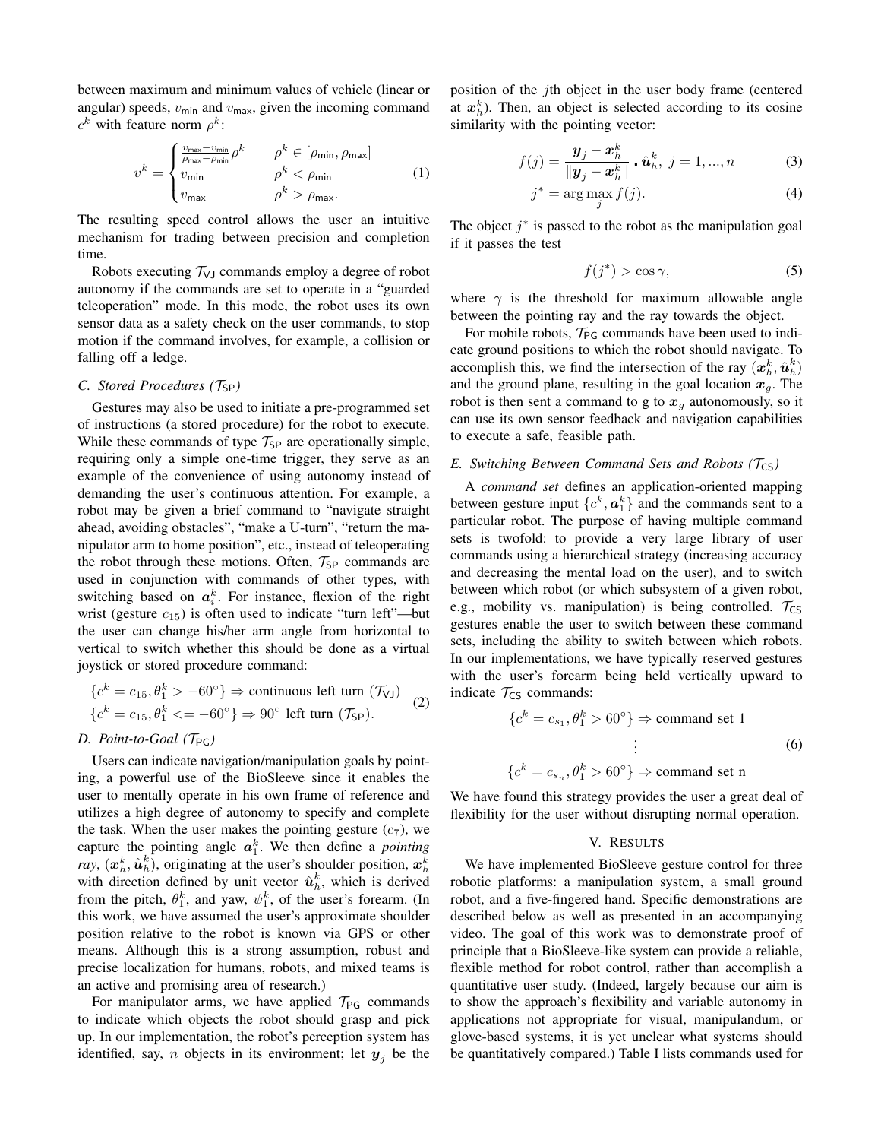between maximum and minimum values of vehicle (linear or angular) speeds,  $v_{\text{min}}$  and  $v_{\text{max}}$ , given the incoming command  $c^k$  with feature norm  $\rho^k$ :

$$
v^{k} = \begin{cases} \frac{v_{\text{max}} - v_{\text{min}}}{\rho_{\text{max}} - \rho_{\text{min}}} \rho^{k} & \rho^{k} \in [\rho_{\text{min}}, \rho_{\text{max}}] \\ v_{\text{min}} & \rho^{k} < \rho_{\text{min}} \\ v_{\text{max}} & \rho^{k} > \rho_{\text{max}}. \end{cases}
$$
 (1)

The resulting speed control allows the user an intuitive mechanism for trading between precision and completion time.

Robots executing  $T_{VJ}$  commands employ a degree of robot autonomy if the commands are set to operate in a "guarded teleoperation" mode. In this mode, the robot uses its own sensor data as a safety check on the user commands, to stop motion if the command involves, for example, a collision or falling off a ledge.

# *C. Stored Procedures* ( $\mathcal{T}_{\text{SP}}$ )

Gestures may also be used to initiate a pre-programmed set of instructions (a stored procedure) for the robot to execute. While these commands of type  $\mathcal{T}_{SP}$  are operationally simple, requiring only a simple one-time trigger, they serve as an example of the convenience of using autonomy instead of demanding the user's continuous attention. For example, a robot may be given a brief command to "navigate straight ahead, avoiding obstacles", "make a U-turn", "return the manipulator arm to home position", etc., instead of teleoperating the robot through these motions. Often,  $\mathcal{T}_{SP}$  commands are used in conjunction with commands of other types, with switching based on  $a_i^k$ . For instance, flexion of the right wrist (gesture  $c_{15}$ ) is often used to indicate "turn left"—but the user can change his/her arm angle from horizontal to vertical to switch whether this should be done as a virtual joystick or stored procedure command:

$$
\begin{aligned} \{c^k = c_{15}, \theta_1^k > -60^\circ\} \Rightarrow \text{continuous left turn } (\mathcal{T}_{VJ})\\ \{c^k = c_{15}, \theta_1^k < = -60^\circ\} \Rightarrow 90^\circ \text{ left turn } (\mathcal{T}_{SP}). \end{aligned} \tag{2}
$$

#### *D. Point-to-Goal* ( $\mathcal{T}_{PG}$ )

Users can indicate navigation/manipulation goals by pointing, a powerful use of the BioSleeve since it enables the user to mentally operate in his own frame of reference and utilizes a high degree of autonomy to specify and complete the task. When the user makes the pointing gesture  $(c_7)$ , we capture the pointing angle  $a_1^k$ . We then define a *pointing* ray,  $(x_h^k, \hat{u}_h^k)$ , originating at the user's shoulder position,  $x_h^k$ with direction defined by unit vector  $\hat{u}_h^k$ , which is derived from the pitch,  $\theta_1^k$ , and yaw,  $\psi_1^k$ , of the user's forearm. (In this work, we have assumed the user's approximate shoulder position relative to the robot is known via GPS or other means. Although this is a strong assumption, robust and precise localization for humans, robots, and mixed teams is an active and promising area of research.)

For manipulator arms, we have applied  $\mathcal{T}_{PG}$  commands to indicate which objects the robot should grasp and pick up. In our implementation, the robot's perception system has identified, say, *n* objects in its environment; let  $y_j$  be the position of the jth object in the user body frame (centered at  $x_h^k$ ). Then, an object is selected according to its cosine similarity with the pointing vector:

$$
f(j) = \frac{\mathbf{y}_j - \mathbf{x}_h^k}{\|\mathbf{y}_j - \mathbf{x}_h^k\|} \cdot \hat{\mathbf{u}}_h^k, \ j = 1, ..., n
$$
 (3)

$$
j^* = \arg\max_j f(j). \tag{4}
$$

The object  $j^*$  is passed to the robot as the manipulation goal if it passes the test

$$
f(j^*) > \cos \gamma,\tag{5}
$$

where  $\gamma$  is the threshold for maximum allowable angle between the pointing ray and the ray towards the object.

For mobile robots,  $T_{PG}$  commands have been used to indicate ground positions to which the robot should navigate. To accomplish this, we find the intersection of the ray  $(\mathbf{x}_h^k, \hat{\mathbf{u}}_h^k)$ and the ground plane, resulting in the goal location  $x_q$ . The robot is then sent a command to g to  $x_q$  autonomously, so it can use its own sensor feedback and navigation capabilities to execute a safe, feasible path.

#### *E. Switching Between Command Sets and Robots (Tcs)*

A *command set* defines an application-oriented mapping between gesture input  $\{c^k, a_1^k\}$  and the commands sent to a particular robot. The purpose of having multiple command sets is twofold: to provide a very large library of user commands using a hierarchical strategy (increasing accuracy and decreasing the mental load on the user), and to switch between which robot (or which subsystem of a given robot, e.g., mobility vs. manipulation) is being controlled.  $T_{CS}$ gestures enable the user to switch between these command sets, including the ability to switch between which robots. In our implementations, we have typically reserved gestures with the user's forearm being held vertically upward to indicate  $T_{\text{CS}}$  commands:

$$
\{c^k = c_{s_1}, \theta_1^k > 60^\circ\} \Rightarrow \text{command set 1}
$$
  
 
$$
\vdots
$$
  
\n
$$
\{c^k = c_{s_n}, \theta_1^k > 60^\circ\} \Rightarrow \text{command set n}
$$
 (6)

We have found this strategy provides the user a great deal of flexibility for the user without disrupting normal operation.

#### V. RESULTS

We have implemented BioSleeve gesture control for three robotic platforms: a manipulation system, a small ground robot, and a five-fingered hand. Specific demonstrations are described below as well as presented in an accompanying video. The goal of this work was to demonstrate proof of principle that a BioSleeve-like system can provide a reliable, flexible method for robot control, rather than accomplish a quantitative user study. (Indeed, largely because our aim is to show the approach's flexibility and variable autonomy in applications not appropriate for visual, manipulandum, or glove-based systems, it is yet unclear what systems should be quantitatively compared.) Table I lists commands used for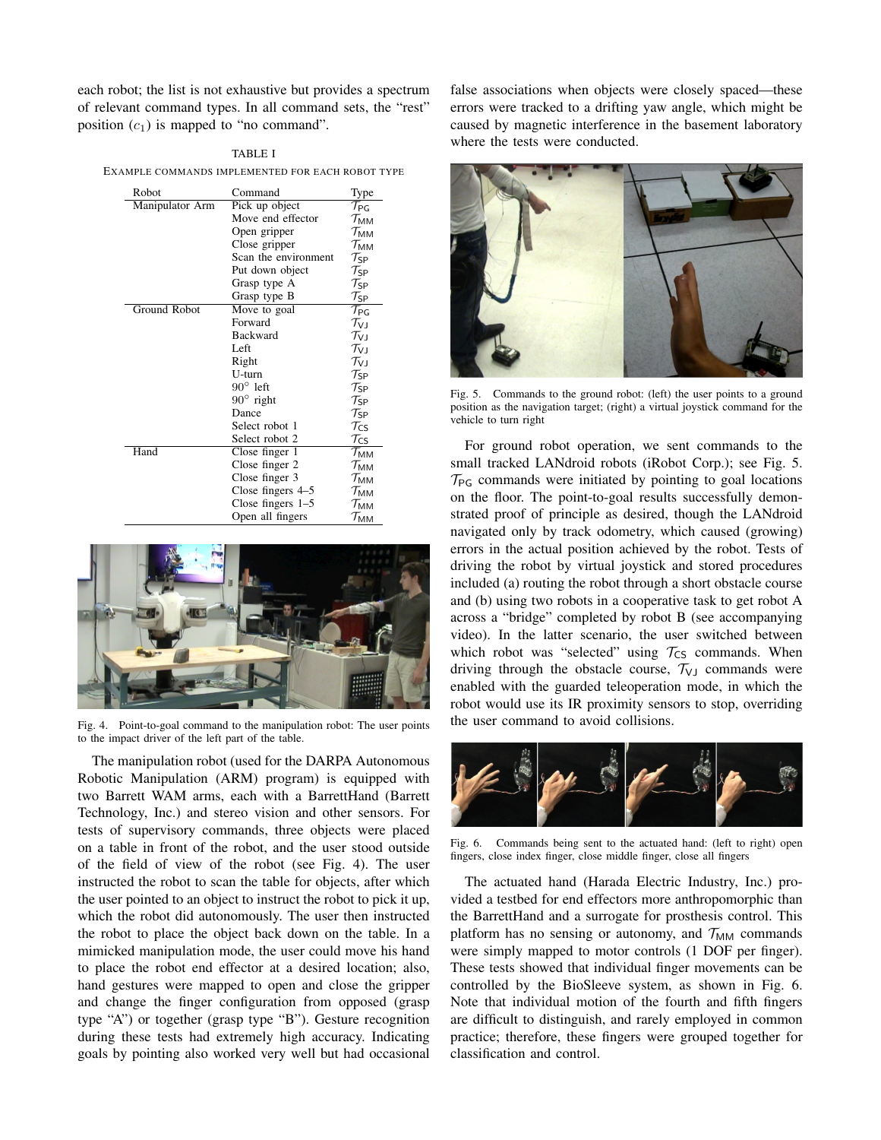each robot; the list is not exhaustive but provides a spectrum of relevant command types. In all command sets, the "rest" position  $(c_1)$  is mapped to "no command".

TABLE I EXAMPLE COMMANDS IMPLEMENTED FOR EACH ROBOT TYPE

| Robot           | Command              | Type                                   |
|-----------------|----------------------|----------------------------------------|
| Manipulator Arm | Pick up object       | $\tau_{\texttt{\tiny PG}}$             |
|                 | Move end effector    | $\mathcal{T}_{\mathsf{MM}}$            |
|                 | Open gripper         | $\tau_{\scriptscriptstyle\mathsf{MM}}$ |
|                 | Close gripper        | $\mathcal{T}_{\mathsf{MM}}$            |
|                 | Scan the environment | $\tau_{\text{SP}}$                     |
|                 | Put down object      | $\tau_\mathsf{SP}$                     |
|                 | Grasp type A         | $\tau_\mathsf{SP}$                     |
|                 | Grasp type B         | $\tau_\mathsf{SP}$                     |
| Ground Robot    | Move to goal         | $\mathcal{T}_{PG}$                     |
|                 | Forward              | $\tau_{\mathsf{vJ}}$                   |
|                 | <b>Backward</b>      | $\tau_{\rm\scriptscriptstyle VI}$      |
|                 | Left                 | $\tau_{\mathsf{v}\mathsf{u}}$          |
|                 | Right                | $\mathcal{T}_{\mathsf{VJ}}$            |
|                 | U-turn               | $\tau_{\text{SP}}$                     |
|                 | $90^\circ$ left      | $\tau_\mathsf{SP}$                     |
|                 | $90^\circ$ right     | $\tau_{\text{\tiny SP}}$               |
|                 | Dance                | $\mathcal{T}_{\mathsf{SP}}$            |
|                 | Select robot 1       | $\tau_{\mathsf{cs}}$                   |
|                 | Select robot 2       | $\tau_{\text{cs}}$                     |
| Hand            | Close finger 1       | $\tau_{\scriptscriptstyle\rm{MM}}$     |
|                 | Close finger 2       | $\mathcal{T}_{\mathsf{MM}}$            |
|                 | Close finger 3       | $\tau_{\scriptscriptstyle\rm{MM}}$     |
|                 | Close fingers $4-5$  | $\tau_{\scriptscriptstyle\rm{MM}}$     |
|                 | Close fingers $1-5$  | $\tau_{\scriptscriptstyle\mathsf{MM}}$ |
|                 | Open all fingers     | $\tau_{\scriptscriptstyle{\text{MM}}}$ |



Fig. 4. Point-to-goal command to the manipulation robot: The user points to the impact driver of the left part of the table.

The manipulation robot (used for the DARPA Autonomous Robotic Manipulation (ARM) program) is equipped with two Barrett WAM arms, each with a BarrettHand (Barrett Technology, Inc.) and stereo vision and other sensors. For tests of supervisory commands, three objects were placed on a table in front of the robot, and the user stood outside of the field of view of the robot (see Fig. 4). The user instructed the robot to scan the table for objects, after which the user pointed to an object to instruct the robot to pick it up, which the robot did autonomously. The user then instructed the robot to place the object back down on the table. In a mimicked manipulation mode, the user could move his hand to place the robot end effector at a desired location; also, hand gestures were mapped to open and close the gripper and change the finger configuration from opposed (grasp type "A") or together (grasp type "B"). Gesture recognition during these tests had extremely high accuracy. Indicating goals by pointing also worked very well but had occasional

false associations when objects were closely spaced—these errors were tracked to a drifting yaw angle, which might be caused by magnetic interference in the basement laboratory where the tests were conducted.



Fig. 5. Commands to the ground robot: (left) the user points to a ground position as the navigation target; (right) a virtual joystick command for the vehicle to turn right

For ground robot operation, we sent commands to the small tracked LANdroid robots (iRobot Corp.); see Fig. 5.  $\mathcal{T}_{PG}$  commands were initiated by pointing to goal locations on the floor. The point-to-goal results successfully demonstrated proof of principle as desired, though the LANdroid navigated only by track odometry, which caused (growing) errors in the actual position achieved by the robot. Tests of driving the robot by virtual joystick and stored procedures included (a) routing the robot through a short obstacle course and (b) using two robots in a cooperative task to get robot A across a "bridge" completed by robot B (see accompanying video). In the latter scenario, the user switched between which robot was "selected" using  $T_{\text{CS}}$  commands. When driving through the obstacle course,  $\mathcal{T}_{VI}$  commands were enabled with the guarded teleoperation mode, in which the robot would use its IR proximity sensors to stop, overriding the user command to avoid collisions.



Fig. 6. Commands being sent to the actuated hand: (left to right) open fingers, close index finger, close middle finger, close all fingers

The actuated hand (Harada Electric Industry, Inc.) provided a testbed for end effectors more anthropomorphic than the BarrettHand and a surrogate for prosthesis control. This platform has no sensing or autonomy, and  $\mathcal{T}_{MM}$  commands were simply mapped to motor controls (1 DOF per finger). These tests showed that individual finger movements can be controlled by the BioSleeve system, as shown in Fig. 6. Note that individual motion of the fourth and fifth fingers are difficult to distinguish, and rarely employed in common practice; therefore, these fingers were grouped together for classification and control.